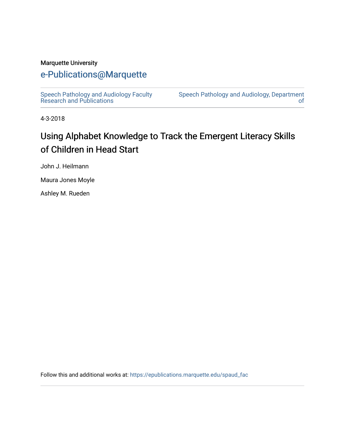#### Marquette University

# [e-Publications@Marquette](https://epublications.marquette.edu/)

[Speech Pathology and Audiology Faculty](https://epublications.marquette.edu/spaud_fac) [Research and Publications](https://epublications.marquette.edu/spaud_fac) 

[Speech Pathology and Audiology, Department](https://epublications.marquette.edu/spaud)  [of](https://epublications.marquette.edu/spaud) 

4-3-2018

# Using Alphabet Knowledge to Track the Emergent Literacy Skills of Children in Head Start

John J. Heilmann

Maura Jones Moyle

Ashley M. Rueden

Follow this and additional works at: [https://epublications.marquette.edu/spaud\\_fac](https://epublications.marquette.edu/spaud_fac?utm_source=epublications.marquette.edu%2Fspaud_fac%2F46&utm_medium=PDF&utm_campaign=PDFCoverPages)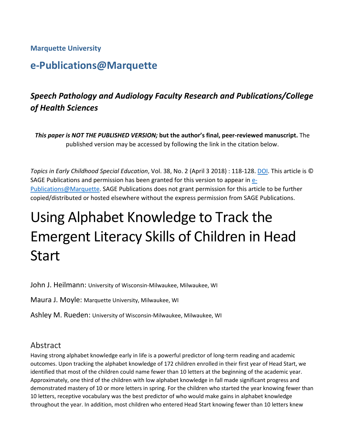#### **Marquette University**

# **e-Publications@Marquette**

# *Speech Pathology and Audiology Faculty Research and Publications/College of Health Sciences*

*This paper is NOT THE PUBLISHED VERSION;* **but the author's final, peer-reviewed manuscript.** The published version may be accessed by following the link in the citation below.

*Topics in Early Childhood Special Education*, Vol. 38, No. 2 (April 3 2018) : 118-128. [DOI.](https://journals.sagepub.com/doi/10.1177/0271121418766636) This article is © SAGE Publications and permission has been granted for this version to appear in [e-](http://epublications.marquette.edu/)[Publications@Marquette.](http://epublications.marquette.edu/) SAGE Publications does not grant permission for this article to be further copied/distributed or hosted elsewhere without the express permission from SAGE Publications.

# Using Alphabet Knowledge to Track the Emergent Literacy Skills of Children in Head **Start**

John J. Heilmann: University of Wisconsin-Milwaukee, Milwaukee, WI

Maura J. Moyle: Marquette University, Milwaukee, WI

Ashley M. Rueden: University of Wisconsin-Milwaukee, Milwaukee, WI

#### Abstract

Having strong alphabet knowledge early in life is a powerful predictor of long-term reading and academic outcomes. Upon tracking the alphabet knowledge of 172 children enrolled in their first year of Head Start, we identified that most of the children could name fewer than 10 letters at the beginning of the academic year. Approximately, one third of the children with low alphabet knowledge in fall made significant progress and demonstrated mastery of 10 or more letters in spring. For the children who started the year knowing fewer than 10 letters, receptive vocabulary was the best predictor of who would make gains in alphabet knowledge throughout the year. In addition, most children who entered Head Start knowing fewer than 10 letters knew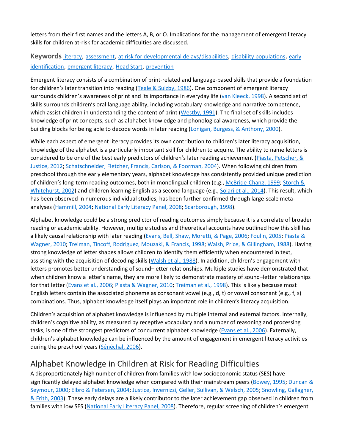letters from their first names and the letters A, B, or O. Implications for the management of emergent literacy skills for children at-risk for academic difficulties are discussed.

#### Keywords [literacy,](https://journals.sagepub.com/keyword/Literacy) [assessment,](https://journals.sagepub.com/keyword/Assessment) [at risk for developmental delays/disabilities,](https://journals.sagepub.com/keyword/At+Risk+For+Developmental+Delays%2Fdisabilities) [disability populations,](https://journals.sagepub.com/keyword/Disability+Populations) early [identification,](https://journals.sagepub.com/keyword/Early+Identification) [emergent literacy,](https://journals.sagepub.com/keyword/Emergent+Literacy) [Head Start,](https://journals.sagepub.com/keyword/Head+Start) [prevention](https://journals.sagepub.com/keyword/Prevention)

Emergent literacy consists of a combination of print-related and language-based skills that provide a foundation for children's later transition into reading [\(Teale & Sulzby, 1986\)](https://journals.sagepub.com/doi/full/10.1177/0271121418766636). One component of emergent literacy surrounds children's awareness of print and its importance in everyday life [\(van Kleeck, 1998\)](https://journals.sagepub.com/doi/full/10.1177/0271121418766636). A second set of skills surrounds children's oral language ability, including vocabulary knowledge and narrative competence, which assist children in understanding the content of print [\(Westby, 1991\)](https://journals.sagepub.com/doi/full/10.1177/0271121418766636). The final set of skills includes knowledge of print concepts, such as alphabet knowledge and phonological awareness, which provide the building blocks for being able to decode words in later reading [\(Lonigan, Burgess, & Anthony, 2000\)](https://journals.sagepub.com/doi/full/10.1177/0271121418766636).

While each aspect of emergent literacy provides its own contribution to children's later literacy acquisition, knowledge of the alphabet is a particularly important skill for children to acquire. The ability to name letters is considered to be one of the best early predictors of children's later reading achievement (Piasta, Petscher, & [Justice, 2012;](https://journals.sagepub.com/doi/full/10.1177/0271121418766636) [Schatschneider, Fletcher, Francis, Carlson, & Foorman, 2004\)](https://journals.sagepub.com/doi/full/10.1177/0271121418766636). When following children from preschool through the early elementary years, alphabet knowledge has consistently provided unique prediction of children's long-term reading outcomes, both in monolingual children (e.g., [McBride-Chang, 1999;](https://journals.sagepub.com/doi/full/10.1177/0271121418766636) Storch & [Whitehurst, 2002\)](https://journals.sagepub.com/doi/full/10.1177/0271121418766636) and children learning English as a second language (e.g., [Solari et al., 2014\)](https://journals.sagepub.com/doi/full/10.1177/0271121418766636). This result, which has been observed in numerous individual studies, has been further confirmed through large-scale metaanalyses [\(Hammill, 2004;](https://journals.sagepub.com/doi/full/10.1177/0271121418766636) [National Early Literacy Panel, 2008;](https://journals.sagepub.com/doi/full/10.1177/0271121418766636) [Scarborough, 1998\)](https://journals.sagepub.com/doi/full/10.1177/0271121418766636).

Alphabet knowledge could be a strong predictor of reading outcomes simply because it is a correlate of broader reading or academic ability. However, multiple studies and theoretical accounts have outlined how this skill has a likely causal relationship with later reading [\(Evans, Bell, Shaw, Moretti, & Page, 2006;](https://journals.sagepub.com/doi/full/10.1177/0271121418766636) [Foulin,](https://journals.sagepub.com/doi/full/10.1177/0271121418766636) 2005; [Piasta &](https://journals.sagepub.com/doi/full/10.1177/0271121418766636)  [Wagner, 2010;](https://journals.sagepub.com/doi/full/10.1177/0271121418766636) [Treiman, Tincoff, Rodriguez, Mouzaki, & Francis, 1998;](https://journals.sagepub.com/doi/full/10.1177/0271121418766636) [Walsh, Price, & Gillingham, 1988\)](https://journals.sagepub.com/doi/full/10.1177/0271121418766636). Having strong knowledge of letter shapes allows children to identify them efficiently when encountered in text, assisting with the acquisition of decoding skills [\(Walsh et al., 1988\)](https://journals.sagepub.com/doi/full/10.1177/0271121418766636). In addition, children's engagement with letters promotes better understanding of sound–letter relationships. Multiple studies have demonstrated that when children know a letter's name, they are more likely to demonstrate mastery of sound–letter relationships for that letter [\(Evans et al., 2006;](https://journals.sagepub.com/doi/full/10.1177/0271121418766636) [Piasta & Wagner, 2010;](https://journals.sagepub.com/doi/full/10.1177/0271121418766636) [Treiman et al., 1998\)](https://journals.sagepub.com/doi/full/10.1177/0271121418766636). This is likely because most English letters contain the associated phoneme as consonant vowel (e.g., d, t) or vowel consonant (e.g., f, s) combinations. Thus, alphabet knowledge itself plays an important role in children's literacy acquisition.

Children's acquisition of alphabet knowledge is influenced by multiple internal and external factors. Internally, children's cognitive ability, as measured by receptive vocabulary and a number of reasoning and processing tasks, is one of the strongest predictors of concurrent alphabet knowledge [\(Evans et al., 2006\)](https://journals.sagepub.com/doi/full/10.1177/0271121418766636). Externally, children's alphabet knowledge can be influenced by the amount of engagement in emergent literacy activities during the preschool years [\(Sénéchal, 2006\)](https://journals.sagepub.com/doi/full/10.1177/0271121418766636).

# Alphabet Knowledge in Children at Risk for Reading Difficulties

A disproportionately high number of children from families with low socioeconomic status (SES) have significantly delayed alphabet knowledge when compared with their mainstream peers [\(Bowey, 1995;](https://journals.sagepub.com/doi/full/10.1177/0271121418766636) Duncan & [Seymour, 2000;](https://journals.sagepub.com/doi/full/10.1177/0271121418766636) [Elbro & Petersen, 2004;](https://journals.sagepub.com/doi/full/10.1177/0271121418766636) [Justice, Invernizzi, Geller, Sullivan, & Welsch, 2005;](https://journals.sagepub.com/doi/full/10.1177/0271121418766636) [Snowling, Gallagher,](https://journals.sagepub.com/doi/full/10.1177/0271121418766636)  [& Frith, 2003\)](https://journals.sagepub.com/doi/full/10.1177/0271121418766636). These early delays are a likely contributor to the later achievement gap observed in children from families with low SES [\(National Early Literacy Panel, 2008\)](https://journals.sagepub.com/doi/full/10.1177/0271121418766636). Therefore, regular screening of children's emergent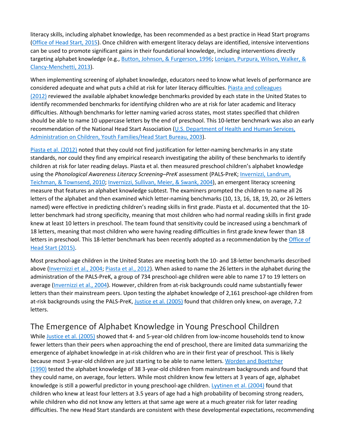literacy skills, including alphabet knowledge, has been recommended as a best practice in Head Start programs [\(Office of Head Start, 2015\)](https://journals.sagepub.com/doi/full/10.1177/0271121418766636). Once children with emergent literacy delays are identified, intensive interventions can be used to promote significant gains in their foundational knowledge, including interventions directly targeting alphabet knowledge (e.g., [Button, Johnson, & Furgerson, 1996;](https://journals.sagepub.com/doi/full/10.1177/0271121418766636) Lonigan, Purpura, Wilson, Walker, & [Clancy-Menchetti, 2013\)](https://journals.sagepub.com/doi/full/10.1177/0271121418766636).

When implementing screening of alphabet knowledge, educators need to know what levels of performance are considered adequate and what puts a child at risk for later literacy difficulties. [Piasta and colleagues](https://journals.sagepub.com/doi/full/10.1177/0271121418766636)  [\(2012\)](https://journals.sagepub.com/doi/full/10.1177/0271121418766636) reviewed the available alphabet knowledge benchmarks provided by each state in the United States to identify recommended benchmarks for identifying children who are at risk for later academic and literacy difficulties. Although benchmarks for letter naming varied across states, most states specified that children should be able to name 10 uppercase letters by the end of preschool. This 10-letter benchmark was also an early recommendation of the National Head Start Association [\(U.S. Department of Health and Human Services,](https://journals.sagepub.com/doi/full/10.1177/0271121418766636)  [Administration on Children, Youth Families/Head Start Bureau, 2003\)](https://journals.sagepub.com/doi/full/10.1177/0271121418766636).

[Piasta et al. \(2012\)](https://journals.sagepub.com/doi/full/10.1177/0271121418766636) noted that they could not find justification for letter-naming benchmarks in any state standards, nor could they find any empirical research investigating the ability of these benchmarks to identify children at risk for later reading delays. Piasta et al. then measured preschool children's alphabet knowledge using the *Phonological Awareness Literacy Screening–PreK* assessment (PALS-PreK; [Invernizzi, Landrum,](https://journals.sagepub.com/doi/full/10.1177/0271121418766636)  [Teichman, & Townsend, 2010;](https://journals.sagepub.com/doi/full/10.1177/0271121418766636) [Invernizzi, Sullivan, Meier, & Swank, 2004\)](https://journals.sagepub.com/doi/full/10.1177/0271121418766636), an emergent literacy screening measure that features an alphabet knowledge subtest. The examiners prompted the children to name all 26 letters of the alphabet and then examined which letter-naming benchmarks (10, 13, 16, 18, 19, 20, or 26 letters named) were effective in predicting children's reading skills in first grade. Piasta et al. documented that the 10 letter benchmark had strong specificity, meaning that most children who had normal reading skills in first grade knew at least 10 letters in preschool. The team found that sensitivity could be increased using a benchmark of 18 letters, meaning that most children who were having reading difficulties in first grade knew fewer than 18 letters in preschool. This 18-letter benchmark has been recently adopted as a recommendation by the [Office of](https://journals.sagepub.com/doi/full/10.1177/0271121418766636)  [Head Start \(2015\).](https://journals.sagepub.com/doi/full/10.1177/0271121418766636)

Most preschool-age children in the United States are meeting both the 10- and 18-letter benchmarks described above [\(Invernizzi et al., 2004;](https://journals.sagepub.com/doi/full/10.1177/0271121418766636) [Piasta et al., 2012\)](https://journals.sagepub.com/doi/full/10.1177/0271121418766636). When asked to name the 26 letters in the alphabet during the administration of the PALS-PreK, a group of 734 preschool-age children were able to name 17 to 19 letters on average [\(Invernizzi et al., 2004\)](https://journals.sagepub.com/doi/full/10.1177/0271121418766636). However, children from at-risk backgrounds could name substantially fewer letters than their mainstream peers. Upon testing the alphabet knowledge of 2,161 preschool-age children from at-risk backgrounds using the PALS-PreK, [Justice et al. \(2005\)](https://journals.sagepub.com/doi/full/10.1177/0271121418766636) found that children only knew, on average, 7.2 letters.

# The Emergence of Alphabet Knowledge in Young Preschool Children

While [Justice et al. \(2005\)](https://journals.sagepub.com/doi/full/10.1177/0271121418766636) showed that 4- and 5-year-old children from low-income households tend to know fewer letters than their peers when approaching the end of preschool, there are limited data summarizing the emergence of alphabet knowledge in at-risk children who are in their first year of preschool. This is likely because most 3-year-old children are just starting to be able to name letters. [Worden and Boettcher](https://journals.sagepub.com/doi/full/10.1177/0271121418766636)  [\(1990\)](https://journals.sagepub.com/doi/full/10.1177/0271121418766636) tested the alphabet knowledge of 38 3-year-old children from mainstream backgrounds and found that they could name, on average, four letters. While most children know few letters at 3 years of age, alphabet knowledge is still a powerful predictor in young preschool-age children. [Lyytinen et al. \(2004\)](https://journals.sagepub.com/doi/full/10.1177/0271121418766636) found that children who knew at least four letters at 3.5 years of age had a high probability of becoming strong readers, while children who did not know any letters at that same age were at a much greater risk for later reading difficulties. The new Head Start standards are consistent with these developmental expectations, recommending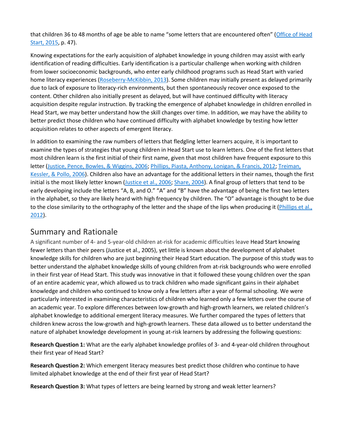that children 36 to 48 months of age be able to name "some letters that are encountered often" (Office of Head [Start, 2015,](https://journals.sagepub.com/doi/full/10.1177/0271121418766636) p. 47).

Knowing expectations for the early acquisition of alphabet knowledge in young children may assist with early identification of reading difficulties. Early identification is a particular challenge when working with children from lower socioeconomic backgrounds, who enter early childhood programs such as Head Start with varied home literacy experiences [\(Roseberry-McKibbin, 2013\)](https://journals.sagepub.com/doi/full/10.1177/0271121418766636). Some children may initially present as delayed primarily due to lack of exposure to literacy-rich environments, but then spontaneously recover once exposed to the content. Other children also initially present as delayed, but will have continued difficulty with literacy acquisition despite regular instruction. By tracking the emergence of alphabet knowledge in children enrolled in Head Start, we may better understand how the skill changes over time. In addition, we may have the ability to better predict those children who have continued difficulty with alphabet knowledge by testing how letter acquisition relates to other aspects of emergent literacy.

In addition to examining the raw numbers of letters that fledgling letter learners acquire, it is important to examine the types of strategies that young children in Head Start use to learn letters. One of the first letters that most children learn is the first initial of their first name, given that most children have frequent exposure to this letter [\(Justice, Pence, Bowles, & Wiggins, 2006;](https://journals.sagepub.com/doi/full/10.1177/0271121418766636) [Phillips, Piasta, Anthony, Lonigan, & Francis, 2012;](https://journals.sagepub.com/doi/full/10.1177/0271121418766636) [Treiman,](https://journals.sagepub.com/doi/full/10.1177/0271121418766636)  [Kessler, & Pollo, 2006\)](https://journals.sagepub.com/doi/full/10.1177/0271121418766636). Children also have an advantage for the additional letters in their names, though the first initial is the most likely letter known [\(Justice et al., 2006;](https://journals.sagepub.com/doi/full/10.1177/0271121418766636) [Share, 2004\)](https://journals.sagepub.com/doi/full/10.1177/0271121418766636). A final group of letters that tend to be early developing include the letters "A, B, and O." "A" and "B" have the advantage of being the first two letters in the alphabet, so they are likely heard with high frequency by children. The "O" advantage is thought to be due to the close similarity to the orthography of the letter and the shape of the lips when producing it (Phillips et al., [2012\)](https://journals.sagepub.com/doi/full/10.1177/0271121418766636).

#### Summary and Rationale

A significant number of 4- and 5-year-old children at-risk for academic difficulties leave Head Start knowing fewer letters than their peers [\(Justice et al., 2005\)](https://journals.sagepub.com/doi/full/10.1177/0271121418766636), yet little is known about the development of alphabet knowledge skills for children who are just beginning their Head Start education. The purpose of this study was to better understand the alphabet knowledge skills of young children from at-risk backgrounds who were enrolled in their first year of Head Start. This study was innovative in that it followed these young children over the span of an entire academic year, which allowed us to track children who made significant gains in their alphabet knowledge and children who continued to know only a few letters after a year of formal schooling. We were particularly interested in examining characteristics of children who learned only a few letters over the course of an academic year. To explore differences between low-growth and high-growth learners, we related children's alphabet knowledge to additional emergent literacy measures. We further compared the types of letters that children knew across the low-growth and high-growth learners. These data allowed us to better understand the nature of alphabet knowledge development in young at-risk learners by addressing the following questions:

**Research Question 1:** What are the early alphabet knowledge profiles of 3- and 4-year-old children throughout their first year of Head Start?

**Research Question 2:** Which emergent literacy measures best predict those children who continue to have limited alphabet knowledge at the end of their first year of Head Start?

**Research Question 3:** What types of letters are being learned by strong and weak letter learners?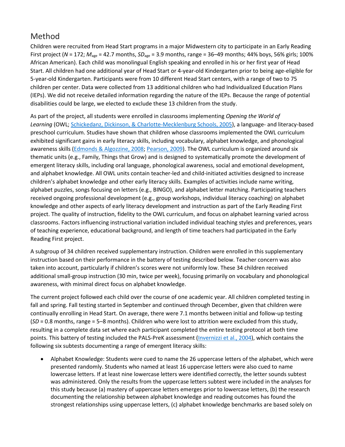## Method

Children were recruited from Head Start programs in a major Midwestern city to participate in an Early Reading First project ( $N = 172$ ;  $M_{\text{age}} = 42.7$  months,  $SD_{\text{age}} = 3.9$  months, range = 36–49 months; 44% boys, 56% girls; 100% African American). Each child was monolingual English speaking and enrolled in his or her first year of Head Start. All children had one additional year of Head Start or 4-year-old Kindergarten prior to being age-eligible for 5-year-old Kindergarten. Participants were from 10 different Head Start centers, with a range of two to 75 children per center. Data were collected from 13 additional children who had Individualized Education Plans (IEPs). We did not receive detailed information regarding the nature of the IEPs. Because the range of potential disabilities could be large, we elected to exclude these 13 children from the study.

As part of the project, all students were enrolled in classrooms implementing *Opening the World of Learning* (OWL; [Schickedanz, Dickinson, & Charlotte-Mecklenburg Schools, 2005\)](https://journals.sagepub.com/doi/full/10.1177/0271121418766636), a language- and literacy-based preschool curriculum. Studies have shown that children whose classrooms implemented the OWL curriculum exhibited significant gains in early literacy skills, including vocabulary, alphabet knowledge, and phonological awareness skills [\(Edmonds & Algozzine, 2008;](https://journals.sagepub.com/doi/full/10.1177/0271121418766636) [Pearson, 2009\)](https://journals.sagepub.com/doi/full/10.1177/0271121418766636). The OWL curriculum is organized around six thematic units (e.g., Family, Things that Grow) and is designed to systematically promote the development of emergent literacy skills, including oral language, phonological awareness, social and emotional development, and alphabet knowledge. All OWL units contain teacher-led and child-initiated activities designed to increase children's alphabet knowledge and other early literacy skills. Examples of activities include name writing, alphabet puzzles, songs focusing on letters (e.g., BINGO), and alphabet letter matching. Participating teachers received ongoing professional development (e.g., group workshops, individual literacy coaching) on alphabet knowledge and other aspects of early literacy development and instruction as part of the Early Reading First project. The quality of instruction, fidelity to the OWL curriculum, and focus on alphabet learning varied across classrooms. Factors influencing instructional variation included individual teaching styles and preferences, years of teaching experience, educational background, and length of time teachers had participated in the Early Reading First project.

A subgroup of 34 children received supplementary instruction. Children were enrolled in this supplementary instruction based on their performance in the battery of testing described below. Teacher concern was also taken into account, particularly if children's scores were not uniformly low. These 34 children received additional small-group instruction (30 min, twice per week), focusing primarily on vocabulary and phonological awareness, with minimal direct focus on alphabet knowledge.

The current project followed each child over the course of one academic year. All children completed testing in fall and spring. Fall testing started in September and continued through December, given that children were continually enrolling in Head Start. On average, there were 7.1 months between initial and follow-up testing (*SD* = 0.8 months, range = 5–8 months). Children who were lost to attrition were excluded from this study, resulting in a complete data set where each participant completed the entire testing protocol at both time points. This battery of testing included the PALS-PreK assessment [\(Invernizzi et al., 2004\)](https://journals.sagepub.com/doi/full/10.1177/0271121418766636), which contains the following six subtests documenting a range of emergent literacy skills:

• Alphabet Knowledge: Students were cued to name the 26 uppercase letters of the alphabet, which were presented randomly. Students who named at least 16 uppercase letters were also cued to name lowercase letters. If at least nine lowercase letters were identified correctly, the letter sounds subtest was administered. Only the results from the uppercase letters subtest were included in the analyses for this study because (a) mastery of uppercase letters emerges prior to lowercase letters, (b) the research documenting the relationship between alphabet knowledge and reading outcomes has found the strongest relationships using uppercase letters, (c) alphabet knowledge benchmarks are based solely on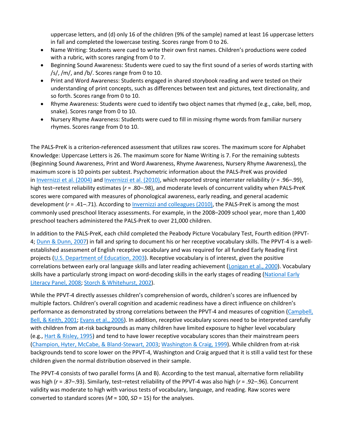uppercase letters, and (d) only 16 of the children (9% of the sample) named at least 16 uppercase letters in fall and completed the lowercase testing. Scores range from 0 to 26.

- Name Writing: Students were cued to write their own first names. Children's productions were coded with a rubric, with scores ranging from 0 to 7.
- Beginning Sound Awareness: Students were cued to say the first sound of a series of words starting with /s/, /m/, and /b/. Scores range from 0 to 10.
- Print and Word Awareness: Students engaged in shared storybook reading and were tested on their understanding of print concepts, such as differences between text and pictures, text directionality, and so forth. Scores range from 0 to 10.
- Rhyme Awareness: Students were cued to identify two object names that rhymed (e.g., cake, bell, mop, snake). Scores range from 0 to 10.
- Nursery Rhyme Awareness: Students were cued to fill in missing rhyme words from familiar nursery rhymes. Scores range from 0 to 10.

The PALS-PreK is a criterion-referenced assessment that utilizes raw scores. The maximum score for Alphabet Knowledge: Uppercase Letters is 26. The maximum score for Name Writing is 7. For the remaining subtests (Beginning Sound Awareness, Print and Word Awareness, Rhyme Awareness, Nursery Rhyme Awareness), the maximum score is 10 points per subtest. Psychometric information about the PALS-PreK was provided in [Invernizzi et al. \(2004\)](https://journals.sagepub.com/doi/full/10.1177/0271121418766636) and [Invernizzi et al. \(2010\),](https://journals.sagepub.com/doi/full/10.1177/0271121418766636) which reported strong interrater reliability (*r* = .96–.99), high test–retest reliability estimates (*r* = .80–.98), and moderate levels of concurrent validity when PALS-PreK scores were compared with measures of phonological awareness, early reading, and general academic development ( $r = .41-.71$ ). According to *Invernizzi and colleagues (2010)*, the PALS-PreK is among the most commonly used preschool literacy assessments. For example, in the 2008–2009 school year, more than 1,400 preschool teachers administered the PALS-PreK to over 21,000 children.

In addition to the PALS-PreK, each child completed the Peabody Picture Vocabulary Test, Fourth edition (PPVT-4; [Dunn & Dunn, 2007\)](https://journals.sagepub.com/doi/full/10.1177/0271121418766636) in fall and spring to document his or her receptive vocabulary skills. The PPVT-4 is a wellestablished assessment of English receptive vocabulary and was required for all funded Early Reading First projects [\(U.S. Department of Education, 2003\)](https://journals.sagepub.com/doi/full/10.1177/0271121418766636). Receptive vocabulary is of interest, given the positive correlations between early oral language skills and later reading achievement [\(Lonigan et al., 2000\)](https://journals.sagepub.com/doi/full/10.1177/0271121418766636). Vocabulary skills have a particularly strong impact on word-decoding skills in the early stages of reading (National Early [Literacy Panel, 2008;](https://journals.sagepub.com/doi/full/10.1177/0271121418766636) [Storch & Whitehurst, 2002\)](https://journals.sagepub.com/doi/full/10.1177/0271121418766636).

While the PPVT-4 directly assesses children's comprehension of words, children's scores are influenced by multiple factors. Children's overall cognition and academic readiness have a direct influence on children's performance as demonstrated by strong correlations between the PPVT-4 and measures of cognition [\(Campbell,](https://journals.sagepub.com/doi/full/10.1177/0271121418766636)  [Bell, & Keith, 2001;](https://journals.sagepub.com/doi/full/10.1177/0271121418766636) [Evans et al., 2006\)](https://journals.sagepub.com/doi/full/10.1177/0271121418766636). In addition, receptive vocabulary scores need to be interpreted carefully with children from at-risk backgrounds as many children have limited exposure to higher level vocabulary (e.g., [Hart & Risley, 1995\)](https://journals.sagepub.com/doi/full/10.1177/0271121418766636) and tend to have lower receptive vocabulary scores than their mainstream peers [\(Champion, Hyter, McCabe, & Bland-Stewart, 2003;](https://journals.sagepub.com/doi/full/10.1177/0271121418766636) [Washington & Craig, 1999\)](https://journals.sagepub.com/doi/full/10.1177/0271121418766636). While children from at-risk backgrounds tend to score lower on the PPVT-4, Washington and Craig argued that it is still a valid test for these children given the normal distribution observed in their sample.

The PPVT-4 consists of two parallel forms (A and B). According to the test manual, alternative form reliability was high (*r* = .87–.93). Similarly, test–retest reliability of the PPVT-4 was also high (*r* = .92–.96). Concurrent validity was moderate to high with various tests of vocabulary, language, and reading. Raw scores were converted to standard scores (*M* = 100, *SD* = 15) for the analyses.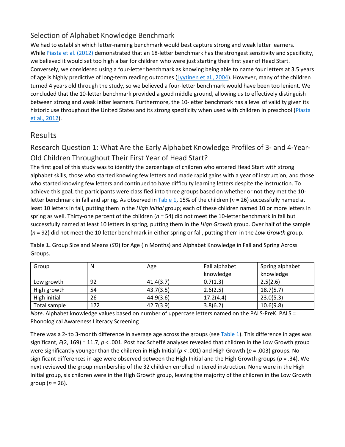#### Selection of Alphabet Knowledge Benchmark

We had to establish which letter-naming benchmark would best capture strong and weak letter learners. While [Piasta et al. \(2012\)](https://journals.sagepub.com/doi/full/10.1177/0271121418766636) demonstrated that an 18-letter benchmark has the strongest sensitivity and specificity, we believed it would set too high a bar for children who were just starting their first year of Head Start. Conversely, we considered using a four-letter benchmark as knowing being able to name four letters at 3.5 years of age is highly predictive of long-term reading outcomes [\(Lyytinen et al., 2004\)](https://journals.sagepub.com/doi/full/10.1177/0271121418766636). However, many of the children turned 4 years old through the study, so we believed a four-letter benchmark would have been too lenient. We concluded that the 10-letter benchmark provided a good middle ground, allowing us to effectively distinguish between strong and weak letter learners. Furthermore, the 10-letter benchmark has a level of validity given its historic use throughout the United States and its strong specificity when used with children in preschool (Piasta [et al., 2012\)](https://journals.sagepub.com/doi/full/10.1177/0271121418766636).

## Results

Research Question 1: What Are the Early Alphabet Knowledge Profiles of 3- and 4-Year-Old Children Throughout Their First Year of Head Start?

The first goal of this study was to identify the percentage of children who entered Head Start with strong alphabet skills, those who started knowing few letters and made rapid gains with a year of instruction, and those who started knowing few letters and continued to have difficulty learning letters despite the instruction. To achieve this goal, the participants were classified into three groups based on whether or not they met the 10- letter benchmark in fall and spring. As observed in [Table 1,](https://journals.sagepub.com/doi/full/10.1177/0271121418766636) 15% of the children (*n* = 26) successfully named at least 10 letters in fall, putting them in the *High Initial* group; each of these children named 10 or more letters in spring as well. Thirty-one percent of the children (*n* = 54) did not meet the 10-letter benchmark in fall but successfully named at least 10 letters in spring, putting them in the *High Growth* group. Over half of the sample (*n* = 92) did not meet the 10-letter benchmark in either spring or fall, putting them in the *Low Growth* group.

| Group        | N   | Age       | Fall alphabet | Spring alphabet |
|--------------|-----|-----------|---------------|-----------------|
|              |     |           | knowledge     | knowledge       |
| Low growth   | 92  | 41.4(3.7) | 0.7(1.3)      | 2.5(2.6)        |
| High growth  | 54  | 43.7(3.5) | 2.6(2.5)      | 18.7(5.7)       |
| High initial | 26  | 44.9(3.6) | 17.2(4.4)     | 23.0(5.3)       |
| Total sample | 172 | 42.7(3.9) | 3.8(6.2)      | 10.6(9.8)       |

**Table 1.** Group Size and Means (*SD*) for Age (in Months) and Alphabet Knowledge in Fall and Spring Across Groups.

*Note*. Alphabet knowledge values based on number of uppercase letters named on the PALS-PreK. PALS = Phonological Awareness Literacy Screening

There was a 2- to 3-month difference in average age across the groups (see [Table 1\)](https://journals.sagepub.com/doi/full/10.1177/0271121418766636). This difference in ages was significant, *F*(2, 169) = 11.7, *p* < .001. Post hoc Scheffé analyses revealed that children in the Low Growth group were significantly younger than the children in High Initial (*p* < .001) and High Growth (*p* = .003) groups. No significant differences in age were observed between the High Initial and the High Growth groups (*p* = .34). We next reviewed the group membership of the 32 children enrolled in tiered instruction. None were in the High Initial group, six children were in the High Growth group, leaving the majority of the children in the Low Growth group (*n* = 26).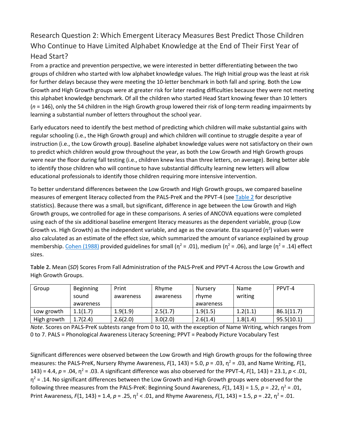# Research Question 2: Which Emergent Literacy Measures Best Predict Those Children Who Continue to Have Limited Alphabet Knowledge at the End of Their First Year of Head Start?

From a practice and prevention perspective, we were interested in better differentiating between the two groups of children who started with low alphabet knowledge values. The High Initial group was the least at risk for further delays because they were meeting the 10-letter benchmark in both fall and spring. Both the Low Growth and High Growth groups were at greater risk for later reading difficulties because they were not meeting this alphabet knowledge benchmark. Of all the children who started Head Start knowing fewer than 10 letters (*n* = 146), only the 54 children in the High Growth group lowered their risk of long-term reading impairments by learning a substantial number of letters throughout the school year.

Early educators need to identify the best method of predicting which children will make substantial gains with regular schooling (i.e., the High Growth group) and which children will continue to struggle despite a year of instruction (i.e., the Low Growth group). Baseline alphabet knowledge values were not satisfactory on their own to predict which children would grow throughout the year, as both the Low Growth and High Growth groups were near the floor during fall testing (i.e., children knew less than three letters, on average). Being better able to identify those children who will continue to have substantial difficulty learning new letters will allow educational professionals to identify those children requiring more intensive intervention.

To better understand differences between the Low Growth and High Growth groups, we compared baseline measures of emergent literacy collected from the PALS-PreK and the PPVT-4 (see [Table 2](https://journals.sagepub.com/doi/full/10.1177/0271121418766636) for descriptive statistics). Because there was a small, but significant, difference in age between the Low Growth and High Growth groups, we controlled for age in these comparisons. A series of ANCOVA equations were completed using each of the six additional baseline emergent literacy measures as the dependent variable, group (Low Growth vs. High Growth) as the independent variable, and age as the covariate. Eta squared ( $\eta^2$ ) values were also calculated as an estimate of the effect size, which summarized the amount of variance explained by group membership. [Cohen \(1988\)](https://journals.sagepub.com/doi/full/10.1177/0271121418766636) provided guidelines for small ( $\eta^2$  = .01), medium ( $\eta^2$  = .06), and large ( $\eta^2$  = .14) effect sizes.

| Group       | Beginning | Print     | Rhyme     | Nursery   | <b>Name</b> | PPVT-4     |
|-------------|-----------|-----------|-----------|-----------|-------------|------------|
|             | sound     | awareness | awareness | rhyme     | writing     |            |
|             | awareness |           |           | awareness |             |            |
| Low growth  | 1.1(1.7)  | 1.9(1.9)  | 2.5(1.7)  | 1.9(1.5)  | 1.2(1.1)    | 86.1(11.7) |
| High growth | 1.7(2.4)  | 2.6(2.0)  | 3.0(2.0)  | 2.6(1.4)  | 1.8(1.4)    | 95.5(10.1) |

**Table 2.** Mean (*SD*) Scores From Fall Administration of the PALS-PreK and PPVT-4 Across the Low Growth and High Growth Groups.

*Note*. Scores on PALS-PreK subtests range from 0 to 10, with the exception of Name Writing, which ranges from 0 to 7. PALS = Phonological Awareness Literacy Screening; PPVT = Peabody Picture Vocabulary Test

Significant differences were observed between the Low Growth and High Growth groups for the following three measures: the PALS-PreK, Nursery Rhyme Awareness, *F*(1, 143) = 5.0, *p* = .03, η<sup>2</sup> = .03, and Name Writing, *F*(1, 143) = 4.4, *p* = .04, η<sup>2</sup> = .03. A significant difference was also observed for the PPVT-4, *F*(1, 143) = 23.1, *p* < .01,  $\eta^2$  = .14. No significant differences between the Low Growth and High Growth groups were observed for the following three measures from the PALS-PreK: Beginning Sound Awareness,  $F(1, 143) = 1.5$ ,  $p = .22$ ,  $\eta^2 = .01$ , Print Awareness, *F*(1, 143) = 1.4, *p* = .25, η<sup>2</sup> < .01, and Rhyme Awareness, *F*(1, 143) = 1.5, *p* = .22, η<sup>2</sup> = .01.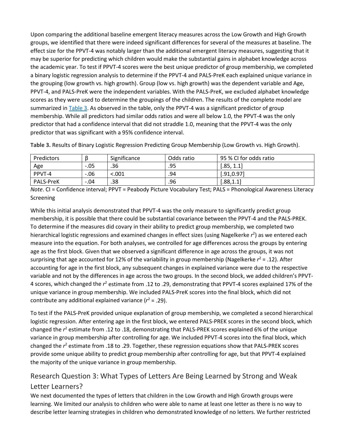Upon comparing the additional baseline emergent literacy measures across the Low Growth and High Growth groups, we identified that there were indeed significant differences for several of the measures at baseline. The effect size for the PPVT-4 was notably larger than the additional emergent literacy measures, suggesting that it may be superior for predicting which children would make the substantial gains in alphabet knowledge across the academic year. To test if PPVT-4 scores were the best unique predictor of group membership, we completed a binary logistic regression analysis to determine if the PPVT-4 and PALS-PreK each explained unique variance in the grouping (low growth vs. high growth). Group (low vs. high growth) was the dependent variable and Age, PPVT-4, and PALS-PreK were the independent variables. With the PALS-PreK, we excluded alphabet knowledge scores as they were used to determine the groupings of the children. The results of the complete model are summarized in [Table 3.](https://journals.sagepub.com/doi/full/10.1177/0271121418766636) As observed in the table, only the PPVT-4 was a significant predictor of group membership. While all predictors had similar odds ratios and were all below 1.0, the PPVT-4 was the only predictor that had a confidence interval that did not straddle 1.0, meaning that the PPVT-4 was the only predictor that was significant with a 95% confidence interval.

| Predictors       |         | Significance | Odds ratio | 95 % CI for odds ratio |
|------------------|---------|--------------|------------|------------------------|
| Age              | $-.05$  | .36          | .95        | [.85, 1.1]             |
| PPVT-4           | $-0.06$ | <.001        | .94        | [.91, 0.97]            |
| <b>PALS-PreK</b> | $-.04$  | .38          | .96        | .88, 1.1               |

**Table 3.** Results of Binary Logistic Regression Predicting Group Membership (Low Growth vs. High Growth).

*Note*. CI = Confidence interval; PPVT = Peabody Picture Vocabulary Test; PALS = Phonological Awareness Literacy Screening

While this initial analysis demonstrated that PPVT-4 was the only measure to significantly predict group membership, it is possible that there could be substantial covariance between the PPVT-4 and the PALS-PREK. To determine if the measures did covary in their ability to predict group membership, we completed two hierarchical logistic regressions and examined changes in effect sizes (using Nagelkerke *r* 2 ) as we entered each measure into the equation. For both analyses, we controlled for age differences across the groups by entering age as the first block. Given that we observed a significant difference in age across the groups, it was not surprising that age accounted for 12% of the variability in group membership (Nagelkerke *r* <sup>2</sup> = .12). After accounting for age in the first block, any subsequent changes in explained variance were due to the respective variable and not by the differences in age across the two groups. In the second block, we added children's PPVT-4 scores, which changed the *r* <sup>2</sup> estimate from .12 to .29, demonstrating that PPVT-4 scores explained 17% of the unique variance in group membership. We included PALS-PreK scores into the final block, which did not contribute any additional explained variance  $(r^2 = .29)$ .

To test if the PALS-PreK provided unique explanation of group membership, we completed a second hierarchical logistic regression. After entering age in the first block, we entered PALS-PREK scores in the second block, which changed the *r* <sup>2</sup> estimate from .12 to .18, demonstrating that PALS-PREK scores explained 6% of the unique variance in group membership after controlling for age. We included PPVT-4 scores into the final block, which changed the *r* <sup>2</sup> estimate from .18 to .29. Together, these regression equations show that PALS-PREK scores provide some unique ability to predict group membership after controlling for age, but that PPVT-4 explained the majority of the unique variance in group membership.

## Research Question 3: What Types of Letters Are Being Learned by Strong and Weak Letter Learners?

We next documented the types of letters that children in the Low Growth and High Growth groups were learning. We limited our analysis to children who were able to name at least one letter as there is no way to describe letter learning strategies in children who demonstrated knowledge of no letters. We further restricted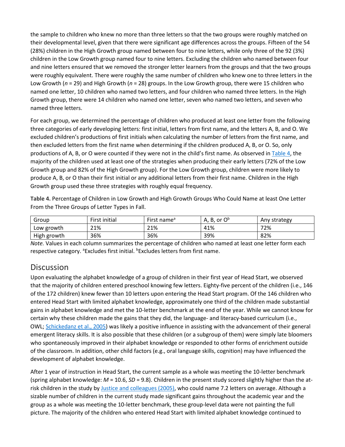the sample to children who knew no more than three letters so that the two groups were roughly matched on their developmental level, given that there were significant age differences across the groups. Fifteen of the 54 (28%) children in the High Growth group named between four to nine letters, while only three of the 92 (3%) children in the Low Growth group named four to nine letters. Excluding the children who named between four and nine letters ensured that we removed the stronger letter learners from the groups and that the two groups were roughly equivalent. There were roughly the same number of children who knew one to three letters in the Low Growth (*n* = 29) and High Growth (*n* = 28) groups. In the Low Growth group, there were 15 children who named one letter, 10 children who named two letters, and four children who named three letters. In the High Growth group, there were 14 children who named one letter, seven who named two letters, and seven who named three letters.

For each group, we determined the percentage of children who produced at least one letter from the following three categories of early developing letters: first initial, letters from first name, and the letters A, B, and O. We excluded children's productions of first initials when calculating the number of letters from the first name, and then excluded letters from the first name when determining if the children produced A, B, or O. So, only productions of A, B, or O were counted if they were not in the child's first name. As observed in [Table 4,](https://journals.sagepub.com/doi/full/10.1177/0271121418766636) the majority of the children used at least one of the strategies when producing their early letters (72% of the Low Growth group and 82% of the High Growth group). For the Low Growth group, children were more likely to produce A, B, or O than their first initial or any additional letters from their first name. Children in the High Growth group used these three strategies with roughly equal frequency.

**Table 4.** Percentage of Children in Low Growth and High Growth Groups Who Could Name at least One Letter From the Three Groups of Letter Types in Fall.

| Group       | First initial | First name <sup>a</sup> | A, B, or $O^b$ | Any strategy |
|-------------|---------------|-------------------------|----------------|--------------|
| Low growth  | 21%           | 21%                     | 41%            | 72%          |
| High growth | 36%           | 36%                     | 39%            | 82%          |

*Note.* Values in each column summarizes the percentage of children who named at least one letter form each respective category. <sup>a</sup>Excludes first initial. <sup>b</sup>Excludes letters from first name.

# **Discussion**

Upon evaluating the alphabet knowledge of a group of children in their first year of Head Start, we observed that the majority of children entered preschool knowing few letters. Eighty-five percent of the children (i.e., 146 of the 172 children) knew fewer than 10 letters upon entering the Head Start program. Of the 146 children who entered Head Start with limited alphabet knowledge, approximately one third of the children made substantial gains in alphabet knowledge and met the 10-letter benchmark at the end of the year. While we cannot know for certain why these children made the gains that they did, the language- and literacy-based curriculum (i.e., OWL; [Schickedanz et al., 2005\)](https://journals.sagepub.com/doi/full/10.1177/0271121418766636) was likely a positive influence in assisting with the advancement of their general emergent literacy skills. It is also possible that these children (or a subgroup of them) were simply late bloomers who spontaneously improved in their alphabet knowledge or responded to other forms of enrichment outside of the classroom. In addition, other child factors (e.g., oral language skills, cognition) may have influenced the development of alphabet knowledge.

After 1 year of instruction in Head Start, the current sample as a whole was meeting the 10-letter benchmark (spring alphabet knowledge: *M* = 10.6, *SD* = 9.8). Children in the present study scored slightly higher than the atrisk children in the study by [Justice and colleagues \(2005\),](https://journals.sagepub.com/doi/full/10.1177/0271121418766636) who could name 7.2 letters on average. Although a sizable number of children in the current study made significant gains throughout the academic year and the group as a whole was meeting the 10-letter benchmark, these group-level data were not painting the full picture. The majority of the children who entered Head Start with limited alphabet knowledge continued to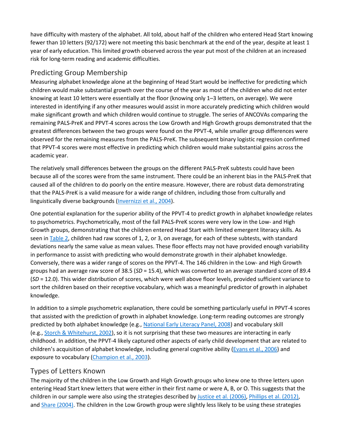have difficulty with mastery of the alphabet. All told, about half of the children who entered Head Start knowing fewer than 10 letters (92/172) were not meeting this basic benchmark at the end of the year, despite at least 1 year of early education. This limited growth observed across the year put most of the children at an increased risk for long-term reading and academic difficulties.

#### Predicting Group Membership

Measuring alphabet knowledge alone at the beginning of Head Start would be ineffective for predicting which children would make substantial growth over the course of the year as most of the children who did not enter knowing at least 10 letters were essentially at the floor (knowing only 1–3 letters, on average). We were interested in identifying if any other measures would assist in more accurately predicting which children would make significant growth and which children would continue to struggle. The series of ANCOVAs comparing the remaining PALS-PreK and PPVT-4 scores across the Low Growth and High Growth groups demonstrated that the greatest differences between the two groups were found on the PPVT-4, while smaller group differences were observed for the remaining measures from the PALS-PreK. The subsequent binary logistic regression confirmed that PPVT-4 scores were most effective in predicting which children would make substantial gains across the academic year.

The relatively small differences between the groups on the different PALS-PreK subtests could have been because all of the scores were from the same instrument. There could be an inherent bias in the PALS-PreK that caused all of the children to do poorly on the entire measure. However, there are robust data demonstrating that the PALS-PreK is a valid measure for a wide range of children, including those from culturally and linguistically diverse backgrounds [\(Invernizzi et al., 2004\)](https://journals.sagepub.com/doi/full/10.1177/0271121418766636).

One potential explanation for the superior ability of the PPVT-4 to predict growth in alphabet knowledge relates to psychometrics. Psychometrically, most of the fall PALS-PreK scores were very low in the Low- and High Growth groups, demonstrating that the children entered Head Start with limited emergent literacy skills. As seen in [Table 2,](https://journals.sagepub.com/doi/full/10.1177/0271121418766636) children had raw scores of 1, 2, or 3, on average, for each of these subtests, with standard deviations nearly the same value as mean values. These floor effects may not have provided enough variability in performance to assist with predicting who would demonstrate growth in their alphabet knowledge. Conversely, there was a wider range of scores on the PPVT-4. The 146 children in the Low- and High Growth groups had an average raw score of 38.5 (*SD* = 15.4), which was converted to an average standard score of 89.4 (*SD* = 12.0). This wider distribution of scores, which were well above floor levels, provided sufficient variance to sort the children based on their receptive vocabulary, which was a meaningful predictor of growth in alphabet knowledge.

In addition to a simple psychometric explanation, there could be something particularly useful in PPVT-4 scores that assisted with the prediction of growth in alphabet knowledge. Long-term reading outcomes are strongly predicted by both alphabet knowledge (e.g., [National Early Literacy Panel, 2008\)](https://journals.sagepub.com/doi/full/10.1177/0271121418766636) and vocabulary skill (e.g., [Storch & Whitehurst, 2002\)](https://journals.sagepub.com/doi/full/10.1177/0271121418766636), so it is not surprising that these two measures are interacting in early childhood. In addition, the PPVT-4 likely captured other aspects of early child development that are related to children's acquisition of alphabet knowledge, including general cognitive ability (Evans [et al., 2006\)](https://journals.sagepub.com/doi/full/10.1177/0271121418766636) and exposure to vocabulary [\(Champion et al., 2003\)](https://journals.sagepub.com/doi/full/10.1177/0271121418766636).

#### Types of Letters Known

The majority of the children in the Low Growth and High Growth groups who knew one to three letters upon entering Head Start knew letters that were either in their first name or were A, B, or O. This suggests that the children in our sample were also using the strategies described by [Justice et al. \(2006\),](https://journals.sagepub.com/doi/full/10.1177/0271121418766636) [Phillips et al. \(2012\),](https://journals.sagepub.com/doi/full/10.1177/0271121418766636) and [Share \(2004\).](https://journals.sagepub.com/doi/full/10.1177/0271121418766636) The children in the Low Growth group were slightly less likely to be using these strategies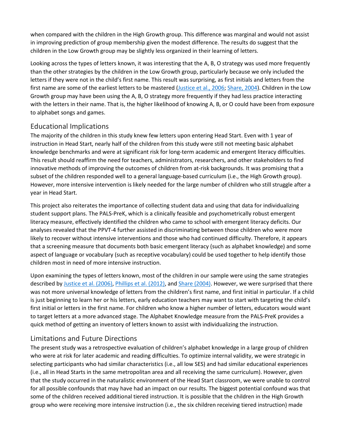when compared with the children in the High Growth group. This difference was marginal and would not assist in improving prediction of group membership given the modest difference. The results do suggest that the children in the Low Growth group may be slightly less organized in their learning of letters.

Looking across the types of letters known, it was interesting that the A, B, O strategy was used more frequently than the other strategies by the children in the Low Growth group, particularly because we only included the letters if they were not in the child's first name. This result was surprising, as first initials and letters from the first name are some of the earliest letters to be mastered [\(Justice et al., 2006;](https://journals.sagepub.com/doi/full/10.1177/0271121418766636) [Share, 2004\)](https://journals.sagepub.com/doi/full/10.1177/0271121418766636). Children in the Low Growth group may have been using the A, B, O strategy more frequently if they had less practice interacting with the letters in their name. That is, the higher likelihood of knowing A, B, or O could have been from exposure to alphabet songs and games.

#### Educational Implications

The majority of the children in this study knew few letters upon entering Head Start. Even with 1 year of instruction in Head Start, nearly half of the children from this study were still not meeting basic alphabet knowledge benchmarks and were at significant risk for long-term academic and emergent literacy difficulties. This result should reaffirm the need for teachers, administrators, researchers, and other stakeholders to find innovative methods of improving the outcomes of children from at-risk backgrounds. It was promising that a subset of the children responded well to a general language-based curriculum (i.e., the High Growth group). However, more intensive intervention is likely needed for the large number of children who still struggle after a year in Head Start.

This project also reiterates the importance of collecting student data and using that data for individualizing student support plans. The PALS-PreK, which is a clinically feasible and psychometrically robust emergent literacy measure, effectively identified the children who came to school with emergent literacy deficits. Our analyses revealed that the PPVT-4 further assisted in discriminating between those children who were more likely to recover without intensive interventions and those who had continued difficulty. Therefore, it appears that a screening measure that documents both basic emergent literacy (such as alphabet knowledge) and some aspect of language or vocabulary (such as receptive vocabulary) could be used together to help identify those children most in need of more intensive instruction.

Upon examining the types of letters known, most of the children in our sample were using the same strategies described by [Justice et al. \(2006\),](https://journals.sagepub.com/doi/full/10.1177/0271121418766636) [Phillips et al. \(2012\),](https://journals.sagepub.com/doi/full/10.1177/0271121418766636) and [Share \(2004\).](https://journals.sagepub.com/doi/full/10.1177/0271121418766636) However, we were surprised that there was not more universal knowledge of letters from the children's first name, and first initial in particular. If a child is just beginning to learn her or his letters, early education teachers may want to start with targeting the child's first initial or letters in the first name. For children who know a higher number of letters, educators would want to target letters at a more advanced stage. The Alphabet Knowledge measure from the PALS-PreK provides a quick method of getting an inventory of letters known to assist with individualizing the instruction.

#### Limitations and Future Directions

The present study was a retrospective evaluation of children's alphabet knowledge in a large group of children who were at risk for later academic and reading difficulties. To optimize internal validity, we were strategic in selecting participants who had similar characteristics (i.e., all low SES) and had similar educational experiences (i.e., all in Head Starts in the same metropolitan area and all receiving the same curriculum). However, given that the study occurred in the naturalistic environment of the Head Start classroom, we were unable to control for all possible confounds that may have had an impact on our results. The biggest potential confound was that some of the children received additional tiered instruction. It is possible that the children in the High Growth group who were receiving more intensive instruction (i.e., the six children receiving tiered instruction) made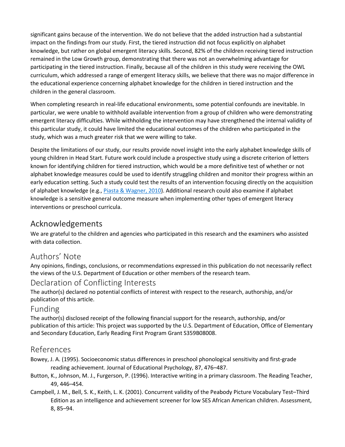significant gains because of the intervention. We do not believe that the added instruction had a substantial impact on the findings from our study. First, the tiered instruction did not focus explicitly on alphabet knowledge, but rather on global emergent literacy skills. Second, 82% of the children receiving tiered instruction remained in the Low Growth group, demonstrating that there was not an overwhelming advantage for participating in the tiered instruction. Finally, because all of the children in this study were receiving the OWL curriculum, which addressed a range of emergent literacy skills, we believe that there was no major difference in the educational experience concerning alphabet knowledge for the children in tiered instruction and the children in the general classroom.

When completing research in real-life educational environments, some potential confounds are inevitable. In particular, we were unable to withhold available intervention from a group of children who were demonstrating emergent literacy difficulties. While withholding the intervention may have strengthened the internal validity of this particular study, it could have limited the educational outcomes of the children who participated in the study, which was a much greater risk that we were willing to take.

Despite the limitations of our study, our results provide novel insight into the early alphabet knowledge skills of young children in Head Start. Future work could include a prospective study using a discrete criterion of letters known for identifying children for tiered instruction, which would be a more definitive test of whether or not alphabet knowledge measures could be used to identify struggling children and monitor their progress within an early education setting. Such a study could test the results of an intervention focusing directly on the acquisition of alphabet knowledge (e.g., [Piasta & Wagner, 2010\)](https://journals.sagepub.com/doi/full/10.1177/0271121418766636). Additional research could also examine if alphabet knowledge is a sensitive general outcome measure when implementing other types of emergent literacy interventions or preschool curricula.

### Acknowledgements

We are grateful to the children and agencies who participated in this research and the examiners who assisted with data collection.

#### Authors' Note

Any opinions, findings, conclusions, or recommendations expressed in this publication do not necessarily reflect the views of the U.S. Department of Education or other members of the research team.

## Declaration of Conflicting Interests

The author(s) declared no potential conflicts of interest with respect to the research, authorship, and/or publication of this article.

#### Funding

The author(s) disclosed receipt of the following financial support for the research, authorship, and/or publication of this article: This project was supported by the U.S. Department of Education, Office of Elementary and Secondary Education, Early Reading First Program Grant S359B08008.

## References

- Bowey, J. A. (1995). Socioeconomic status differences in preschool phonological sensitivity and first-grade reading achievement. Journal of Educational Psychology, 87, 476–487.
- Button, K., Johnson, M. J., Furgerson, P. (1996). Interactive writing in a primary classroom. The Reading Teacher, 49, 446–454.
- Campbell, J. M., Bell, S. K., Keith, L. K. (2001). Concurrent validity of the Peabody Picture Vocabulary Test–Third Edition as an intelligence and achievement screener for low SES African American children. Assessment, 8, 85–94.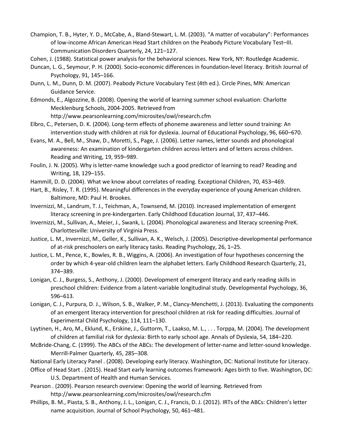Champion, T. B., Hyter, Y. D., McCabe, A., Bland-Stewart, L. M. (2003). "A matter of vocabulary": Performances of low-income African American Head Start children on the Peabody Picture Vocabulary Test–III. Communication Disorders Quarterly, 24, 121–127.

Cohen, J. (1988). Statistical power analysis for the behavioral sciences. New York, NY: Routledge Academic.

- Duncan, L. G., Seymour, P. H. (2000). Socio-economic differences in foundation-level literacy. British Journal of Psychology, 91, 145–166.
- Dunn, L. M., Dunn, D. M. (2007). Peabody Picture Vocabulary Test (4th ed.). Circle Pines, MN: American Guidance Service.

Edmonds, E., Algozzine, B. (2008). Opening the world of learning summer school evaluation: Charlotte Mecklenburg Schools, 2004-2005. Retrieved from

http://www.pearsonlearning.com/microsites/owl/research.cfm

- Elbro, C., Petersen, D. K. (2004). Long-term effects of phoneme awareness and letter sound training: An intervention study with children at risk for dyslexia. Journal of Educational Psychology, 96, 660–670.
- Evans, M. A., Bell, M., Shaw, D., Moretti, S., Page, J. (2006). Letter names, letter sounds and phonological awareness: An examination of kindergarten children across letters and of letters across children. Reading and Writing, 19, 959–989.
- Foulin, J. N. (2005). Why is letter-name knowledge such a good predictor of learning to read? Reading and Writing, 18, 129–155.
- Hammill, D. D. (2004). What we know about correlates of reading. Exceptional Children, 70, 453–469.
- Hart, B., Risley, T. R. (1995). Meaningful differences in the everyday experience of young American children. Baltimore, MD: Paul H. Brookes.
- Invernizzi, M., Landrum, T. J., Teichman, A., Townsend, M. (2010). Increased implementation of emergent literacy screening in pre-kindergarten. Early Childhood Education Journal, 37, 437–446.
- Invernizzi, M., Sullivan, A., Meier, J., Swank, L. (2004). Phonological awareness and literacy screening-PreK. Charlottesville: University of Virginia Press.
- Justice, L. M., Invernizzi, M., Geller, K., Sullivan, A. K., Welsch, J. (2005). Descriptive-developmental performance of at-risk preschoolers on early literacy tasks. Reading Psychology, 26, 1–25.
- Justice, L. M., Pence, K., Bowles, R. B., Wiggins, A. (2006). An investigation of four hypotheses concerning the order by which 4-year-old children learn the alphabet letters. Early Childhood Research Quarterly, 21, 374–389.
- Lonigan, C. J., Burgess, S., Anthony, J. (2000). Development of emergent literacy and early reading skills in preschool children: Evidence from a latent-variable longitudinal study. Developmental Psychology, 36, 596–613.
- Lonigan, C. J., Purpura, D. J., Wilson, S. B., Walker, P. M., Clancy-Menchetti, J. (2013). Evaluating the components of an emergent literacy intervention for preschool children at risk for reading difficulties. Journal of Experimental Child Psychology, 114, 111–130.
- Lyytinen, H., Aro, M., Eklund, K., Erskine, J., Guttorm, T., Laakso, M. L., . . . Torppa, M. (2004). The development of children at familial risk for dyslexia: Birth to early school age. Annals of Dyslexia, 54, 184–220.
- McBride-Chang, C. (1999). The ABCs of the ABCs: The development of letter-name and letter-sound knowledge. Merrill-Palmer Quarterly, 45, 285–308.
- National Early Literacy Panel . (2008). Developing early literacy. Washington, DC: National Institute for Literacy.
- Office of Head Start . (2015). Head Start early learning outcomes framework: Ages birth to five. Washington, DC: U.S. Department of Health and Human Services.
- Pearson . (2009). Pearson research overview: Opening the world of learning. Retrieved from http://www.pearsonlearning.com/microsites/owl/research.cfm
- Phillips, B. M., Piasta, S. B., Anthony, J. L., Lonigan, C. J., Francis, D. J. (2012). IRTs of the ABCs: Children's letter name acquisition. Journal of School Psychology, 50, 461–481.